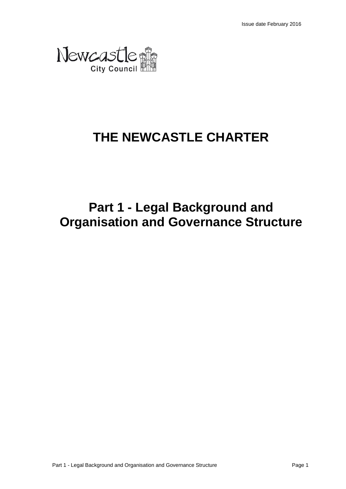

# **THE NEWCASTLE CHARTER**

# **Part 1 - Legal Background and Organisation and Governance Structure**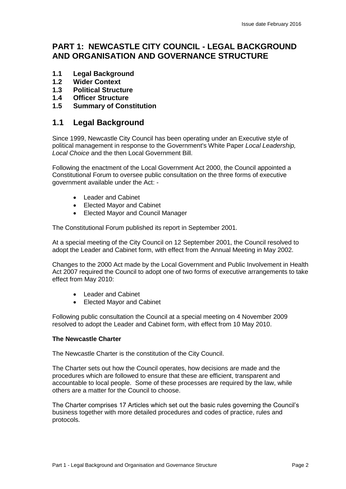# **PART 1: NEWCASTLE CITY COUNCIL - LEGAL BACKGROUND AND ORGANISATION AND GOVERNANCE STRUCTURE**

- **1.1 Legal Background**
- **1.2 Wider Context**
- **1.3 Political Structure**
- **1.4 Officer Structure**
- **1.5 Summary of Constitution**

## **1.1 Legal Background**

Since 1999, Newcastle City Council has been operating under an Executive style of political management in response to the Government's White Paper *Local Leadership, Local Choice* and the then Local Government Bill.

Following the enactment of the Local Government Act 2000, the Council appointed a Constitutional Forum to oversee public consultation on the three forms of executive government available under the Act: -

- Leader and Cabinet
- Elected Mayor and Cabinet
- Elected Mayor and Council Manager

The Constitutional Forum published its report in September 2001.

At a special meeting of the City Council on 12 September 2001, the Council resolved to adopt the Leader and Cabinet form, with effect from the Annual Meeting in May 2002.

Changes to the 2000 Act made by the Local Government and Public Involvement in Health Act 2007 required the Council to adopt one of two forms of executive arrangements to take effect from May 2010:

- Leader and Cabinet
- Elected Mayor and Cabinet

Following public consultation the Council at a special meeting on 4 November 2009 resolved to adopt the Leader and Cabinet form, with effect from 10 May 2010.

#### **The Newcastle Charter**

The Newcastle Charter is the constitution of the City Council.

The Charter sets out how the Council operates, how decisions are made and the procedures which are followed to ensure that these are efficient, transparent and accountable to local people. Some of these processes are required by the law, while others are a matter for the Council to choose.

The Charter comprises 17 Articles which set out the basic rules governing the Council's business together with more detailed procedures and codes of practice, rules and protocols.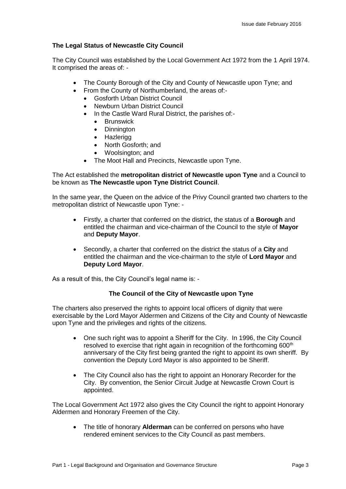#### **The Legal Status of Newcastle City Council**

The City Council was established by the Local Government Act 1972 from the 1 April 1974. It comprised the areas of: -

- The County Borough of the City and County of Newcastle upon Tyne; and
- From the County of Northumberland, the areas of:-
	- Gosforth Urban District Council
	- Newburn Urban District Council
	- In the Castle Ward Rural District, the parishes of:-
		- **•** Brunswick
		- Dinnington
		- Hazlerigg
		- North Gosforth: and
		- Woolsington; and
	- The Moot Hall and Precincts, Newcastle upon Tyne.

#### The Act established the **metropolitan district of Newcastle upon Tyne** and a Council to be known as **The Newcastle upon Tyne District Council**.

In the same year, the Queen on the advice of the Privy Council granted two charters to the metropolitan district of Newcastle upon Tyne: -

- Firstly, a charter that conferred on the district, the status of a **Borough** and entitled the chairman and vice-chairman of the Council to the style of **Mayor** and **Deputy Mayor**.
- Secondly, a charter that conferred on the district the status of a **City** and entitled the chairman and the vice-chairman to the style of **Lord Mayor** and **Deputy Lord Mayor**.

As a result of this, the City Council's legal name is: -

#### **The Council of the City of Newcastle upon Tyne**

The charters also preserved the rights to appoint local officers of dignity that were exercisable by the Lord Mayor Aldermen and Citizens of the City and County of Newcastle upon Tyne and the privileges and rights of the citizens.

- One such right was to appoint a Sheriff for the City. In 1996, the City Council resolved to exercise that right again in recognition of the forthcoming 600<sup>th</sup> anniversary of the City first being granted the right to appoint its own sheriff. By convention the Deputy Lord Mayor is also appointed to be Sheriff.
- The City Council also has the right to appoint an Honorary Recorder for the City. By convention, the Senior Circuit Judge at Newcastle Crown Court is appointed.

The Local Government Act 1972 also gives the City Council the right to appoint Honorary Aldermen and Honorary Freemen of the City.

 The title of honorary **Alderman** can be conferred on persons who have rendered eminent services to the City Council as past members.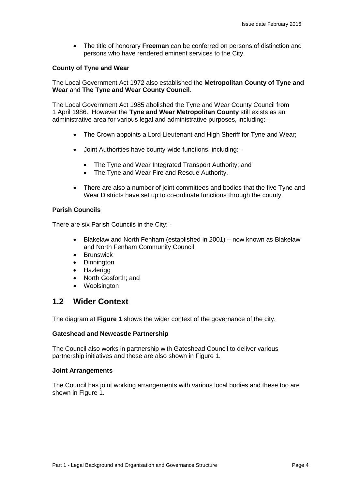The title of honorary **Freeman** can be conferred on persons of distinction and persons who have rendered eminent services to the City.

#### **County of Tyne and Wear**

The Local Government Act 1972 also established the **Metropolitan County of Tyne and Wear** and **The Tyne and Wear County Council**.

The Local Government Act 1985 abolished the Tyne and Wear County Council from 1 April 1986. However the **Tyne and Wear Metropolitan County** still exists as an administrative area for various legal and administrative purposes, including: -

- The Crown appoints a Lord Lieutenant and High Sheriff for Tyne and Wear;
- Joint Authorities have county-wide functions, including:-
	- The Tyne and Wear Integrated Transport Authority; and
	- The Tyne and Wear Fire and Rescue Authority.
- There are also a number of joint committees and bodies that the five Tyne and Wear Districts have set up to co-ordinate functions through the county.

#### **Parish Councils**

There are six Parish Councils in the City: -

- Blakelaw and North Fenham (established in 2001) now known as Blakelaw and North Fenham Community Council
- **•** Brunswick
- Dinnington
- Hazlerigg
- North Gosforth; and
- Woolsington

#### **1.2 Wider Context**

The diagram at **Figure 1** shows the wider context of the governance of the city.

#### **Gateshead and Newcastle Partnership**

The Council also works in partnership with Gateshead Council to deliver various partnership initiatives and these are also shown in Figure 1.

#### **Joint Arrangements**

The Council has joint working arrangements with various local bodies and these too are shown in Figure 1.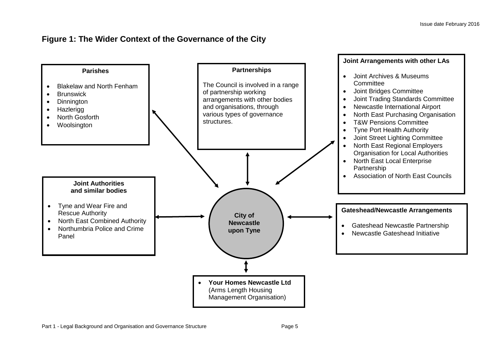# **Figure 1: The Wider Context of the Governance of the City**

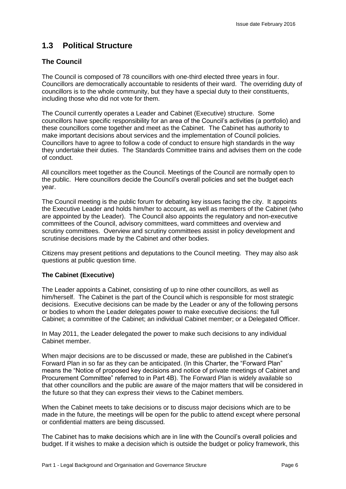# **1.3 Political Structure**

#### **The Council**

The Council is composed of 78 councillors with one-third elected three years in four. Councillors are democratically accountable to residents of their ward. The overriding duty of councillors is to the whole community, but they have a special duty to their constituents, including those who did not vote for them.

The Council currently operates a Leader and Cabinet (Executive) structure. Some councillors have specific responsibility for an area of the Council's activities (a portfolio) and these councillors come together and meet as the Cabinet. The Cabinet has authority to make important decisions about services and the implementation of Council policies. Councillors have to agree to follow a code of conduct to ensure high standards in the way they undertake their duties. The Standards Committee trains and advises them on the code of conduct.

All councillors meet together as the Council. Meetings of the Council are normally open to the public. Here councillors decide the Council's overall policies and set the budget each year.

The Council meeting is the public forum for debating key issues facing the city. It appoints the Executive Leader and holds him/her to account, as well as members of the Cabinet (who are appointed by the Leader). The Council also appoints the regulatory and non-executive committees of the Council, advisory committees, ward committees and overview and scrutiny committees. Overview and scrutiny committees assist in policy development and scrutinise decisions made by the Cabinet and other bodies.

Citizens may present petitions and deputations to the Council meeting. They may also ask questions at public question time.

#### **The Cabinet (Executive)**

The Leader appoints a Cabinet, consisting of up to nine other councillors, as well as him/herself. The Cabinet is the part of the Council which is responsible for most strategic decisions. Executive decisions can be made by the Leader or any of the following persons or bodies to whom the Leader delegates power to make executive decisions: the full Cabinet; a committee of the Cabinet; an individual Cabinet member; or a Delegated Officer.

In May 2011, the Leader delegated the power to make such decisions to any individual Cabinet member.

When major decisions are to be discussed or made, these are published in the Cabinet's Forward Plan in so far as they can be anticipated. (In this Charter, the "Forward Plan" means the "Notice of proposed key decisions and notice of private meetings of Cabinet and Procurement Committee" referred to in Part 4B). The Forward Plan is widely available so that other councillors and the public are aware of the major matters that will be considered in the future so that they can express their views to the Cabinet members.

When the Cabinet meets to take decisions or to discuss major decisions which are to be made in the future, the meetings will be open for the public to attend except where personal or confidential matters are being discussed.

The Cabinet has to make decisions which are in line with the Council's overall policies and budget. If it wishes to make a decision which is outside the budget or policy framework, this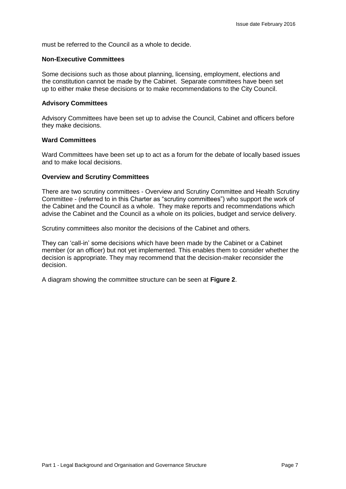must be referred to the Council as a whole to decide.

#### **Non-Executive Committees**

Some decisions such as those about planning, licensing, employment, elections and the constitution cannot be made by the Cabinet. Separate committees have been set up to either make these decisions or to make recommendations to the City Council.

#### **Advisory Committees**

Advisory Committees have been set up to advise the Council, Cabinet and officers before they make decisions.

#### **Ward Committees**

Ward Committees have been set up to act as a forum for the debate of locally based issues and to make local decisions.

#### **Overview and Scrutiny Committees**

There are two scrutiny committees - Overview and Scrutiny Committee and Health Scrutiny Committee - (referred to in this Charter as "scrutiny committees") who support the work of the Cabinet and the Council as a whole. They make reports and recommendations which advise the Cabinet and the Council as a whole on its policies, budget and service delivery.

Scrutiny committees also monitor the decisions of the Cabinet and others.

They can 'call-in' some decisions which have been made by the Cabinet or a Cabinet member (or an officer) but not yet implemented. This enables them to consider whether the decision is appropriate. They may recommend that the decision-maker reconsider the decision.

A diagram showing the committee structure can be seen at **Figure 2**.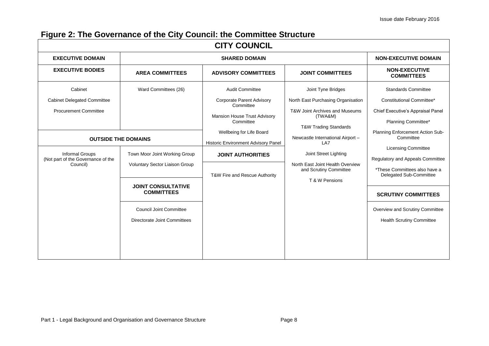# **Figure 2: The Governance of the City Council: the Committee Structure**

| <b>CITY COUNCIL</b>                                                      |                                                |                                                                                            |                                                                                                                     |                                                                                       |
|--------------------------------------------------------------------------|------------------------------------------------|--------------------------------------------------------------------------------------------|---------------------------------------------------------------------------------------------------------------------|---------------------------------------------------------------------------------------|
| <b>EXECUTIVE DOMAIN</b>                                                  | <b>SHARED DOMAIN</b>                           |                                                                                            |                                                                                                                     | <b>NON-EXECUTIVE DOMAIN</b>                                                           |
| <b>EXECUTIVE BODIES</b>                                                  | <b>AREA COMMITTEES</b>                         | <b>ADVISORY COMMITTEES</b>                                                                 | <b>JOINT COMMITTEES</b>                                                                                             | <b>NON-EXECUTIVE</b><br><b>COMMITTEES</b>                                             |
| Cabinet                                                                  | Ward Committees (26)                           | <b>Audit Committee</b>                                                                     | Joint Tyne Bridges                                                                                                  | <b>Standards Committee</b>                                                            |
| <b>Cabinet Delegated Committee</b><br><b>Procurement Committee</b>       |                                                | <b>Corporate Parent Advisory</b><br>Committee<br>Mansion House Trust Advisory<br>Committee | North East Purchasing Organisation<br>T&W Joint Archives and Museums<br>(TWA&M)<br><b>T&amp;W Trading Standards</b> | Constitutional Committee*<br>Chief Executive's Appraisal Panel<br>Planning Committee* |
| <b>OUTSIDE THE DOMAINS</b>                                               |                                                | Wellbeing for Life Board<br>Historic Environment Advisory Panel                            | Newcastle International Airport -<br>LA7                                                                            | Planning Enforcement Action Sub-<br>Committee                                         |
| <b>Informal Groups</b><br>(Not part of the Governance of the<br>Council) | Town Moor Joint Working Group                  | <b>JOINT AUTHORITIES</b>                                                                   | Joint Street Lighting<br>North East Joint Health Overview<br>and Scrutiny Committee<br>T & W Pensions               | <b>Licensing Committee</b><br><b>Regulatory and Appeals Committee</b>                 |
|                                                                          | Voluntary Sector Liaison Group                 | T&W Fire and Rescue Authority                                                              |                                                                                                                     | *These Committees also have a<br>Delegated Sub-Committee                              |
|                                                                          | <b>JOINT CONSULTATIVE</b><br><b>COMMITTEES</b> |                                                                                            |                                                                                                                     | <b>SCRUTINY COMMITTEES</b>                                                            |
|                                                                          | <b>Council Joint Committee</b>                 |                                                                                            |                                                                                                                     | Overview and Scrutiny Committee                                                       |
|                                                                          | Directorate Joint Committees                   |                                                                                            |                                                                                                                     | <b>Health Scrutiny Committee</b>                                                      |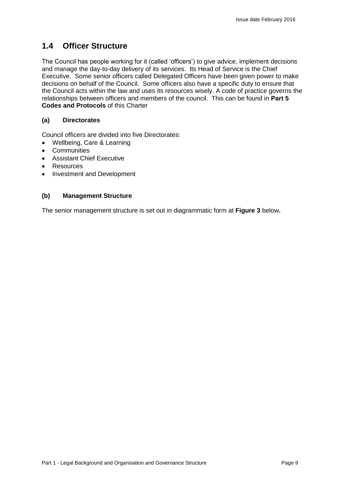# **1.4 Officer Structure**

The Council has people working for it (called 'officers') to give advice, implement decisions and manage the day-to-day delivery of its services. Its Head of Service is the Chief Executive. Some senior officers called Delegated Officers have been given power to make decisions on behalf of the Council. Some officers also have a specific duty to ensure that the Council acts within the law and uses its resources wisely. A code of practice governs the relationships between officers and members of the council. This can be found in **Part 5 Codes and Protocols** of this Charter

#### **(a) Directorates**

Council officers are divided into five Directorates:

- Wellbeing, Care & Learning
- Communities
- Assistant Chief Executive
- Resources
- Investment and Development

#### **(b) Management Structure**

The senior management structure is set out in diagrammatic form at **Figure 3** below**.**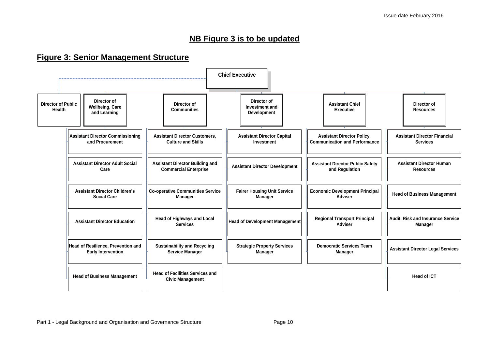## **NB Figure 3 is to be updated**

## **Figure 3: Senior Management Structure**